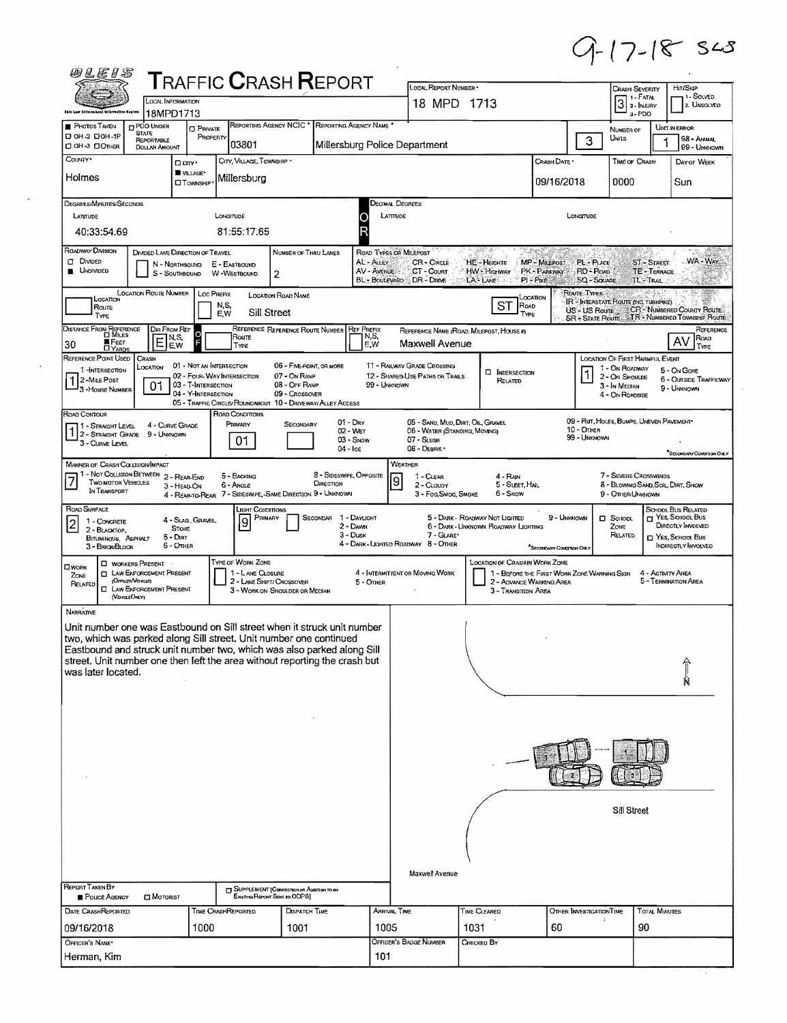$9 - 17 - 18 = 545$ 

 $\hat{\mathcal{A}}$ 

| @LE15                                                                                                                                                                                                                                                                                                                                           |                                                                                                                                      |                                                      | <b>TRAFFIC CRASH REPORT</b>                                                                                           |                                                                                            |                                                   |                                                     | LOCAL REPORT NUMBER -                                                                             |                                                                       |                                                                                   |                                                                 |                                                                                                         | Hrt/Skip                                                                                                               |
|-------------------------------------------------------------------------------------------------------------------------------------------------------------------------------------------------------------------------------------------------------------------------------------------------------------------------------------------------|--------------------------------------------------------------------------------------------------------------------------------------|------------------------------------------------------|-----------------------------------------------------------------------------------------------------------------------|--------------------------------------------------------------------------------------------|---------------------------------------------------|-----------------------------------------------------|---------------------------------------------------------------------------------------------------|-----------------------------------------------------------------------|-----------------------------------------------------------------------------------|-----------------------------------------------------------------|---------------------------------------------------------------------------------------------------------|------------------------------------------------------------------------------------------------------------------------|
| <b>Jale Low Folusonant tolernative Region</b>                                                                                                                                                                                                                                                                                                   | <b>LOCAL INFORMATION</b><br>18MPD1713                                                                                                |                                                      |                                                                                                                       |                                                                                            |                                                   |                                                     | 18 MPD 1713                                                                                       |                                                                       |                                                                                   |                                                                 | CRASH SEVERITY<br>1 - FATAL<br>$\boxed{3}$<br>2 - INJURY<br>$3 - PDO$                                   | <b>1 - SOLVED</b><br>2. UNSOLVED                                                                                       |
| <b>PHOTOS TAKEN</b><br>D OH-2 DOH-1P<br>□ ОН З □ Отная                                                                                                                                                                                                                                                                                          | <b>PDO UNDER</b><br><b>STATE</b><br>REPORTABLE<br><b>DOLLAR AMOUNT</b>                                                               | <b>D</b> PRIVATE<br>PROPERTY                         | 03801                                                                                                                 | REPORTING AGENCY NCIC <sup>*</sup> REPORTING AGENCY NAME <sup>*</sup>                      | Millersburg Police Department                     |                                                     |                                                                                                   |                                                                       |                                                                                   | 3                                                               | NUMBER OF<br>UNITS                                                                                      | <b>UNIT IN ERROR</b><br>98 - ANMAL<br>99 - UNKNOWN                                                                     |
| Countr <sup>*</sup><br>Holmes                                                                                                                                                                                                                                                                                                                   |                                                                                                                                      | D an <sup>+</sup><br>WILLAGE*<br><b>CIT CAMISHIP</b> | CITY, VILLAGE, TOWNSHIP *<br>Millersburg                                                                              |                                                                                            |                                                   |                                                     |                                                                                                   |                                                                       | CRASH DATE *<br>09/16/2018                                                        |                                                                 | TIME OF CRASH<br>0000                                                                                   | DAY OF WEEK<br>Sun                                                                                                     |
| DEGREES/MINUTES/SECONDS<br>LATTUDE                                                                                                                                                                                                                                                                                                              |                                                                                                                                      |                                                      | LONGITUDE                                                                                                             |                                                                                            |                                                   | Decimal Degrees<br>LATTUDE                          |                                                                                                   |                                                                       |                                                                                   | LONGITUDE                                                       |                                                                                                         |                                                                                                                        |
| 40:33:54.69<br>ROADWAY DIVISION                                                                                                                                                                                                                                                                                                                 |                                                                                                                                      |                                                      | 81:55:17.65                                                                                                           |                                                                                            |                                                   |                                                     |                                                                                                   |                                                                       |                                                                                   |                                                                 |                                                                                                         |                                                                                                                        |
| <b>CT</b> DIVIDED<br>UNDIVIDED                                                                                                                                                                                                                                                                                                                  | DIMDED LANE DIRECTION OF TRAVEL<br>N - Northbound<br>S - SOUTHBOUND                                                                  |                                                      | E - EASTBOUND<br>W-WESTBOUND                                                                                          | NUMBER OF THRU LANES<br>$\overline{2}$                                                     |                                                   | ROAD TYPES OR MILEPOST<br>AL - ALLEY<br>AV - AVENUE | CR - CIRCLE<br>CT-Court<br>BL - BOULEVARD DR - DRIVE                                              | HE - Heights<br>HW - Highway<br>LA: Lwe                               | MP - MiLEPOST<br>PK - PARKWAY<br>$PI - P$ <sup><math>K</math><math>E</math></sup> | PL - PLACE<br>RD - Roap<br><b>SQ - SQUARE</b>                   |                                                                                                         | WA-WAY<br>ST-STREET<br>TE - TERRACE<br>TL-TRAL                                                                         |
| LOCATION<br><b>ROUTE</b><br><b>TYPE</b>                                                                                                                                                                                                                                                                                                         | <b>LOCATION ROUTE NUMBER</b>                                                                                                         | Loc Prefix                                           | N,S,<br>E,W                                                                                                           | LOCATION ROAD NAME<br>Sill Street                                                          |                                                   |                                                     |                                                                                                   | ST                                                                    | Location<br>ROAD<br>TYPE                                                          | ROUTE TYPES<br>IR <sup>2</sup> INTERSTATE ROUTE (INC. TURNPIKE) |                                                                                                         | US - US Route & CR <sup>L</sup> Number County Route<br>SR = STATE ROUTE TR - NUMBERED TOWNSHIP ROUTE                   |
| DISTANCE FROM REFERENCE<br>FEET<br>DYARDS<br>30                                                                                                                                                                                                                                                                                                 | Dir From Ref<br>$E_{E}^{N,S}$<br>EW                                                                                                  |                                                      | Route<br>TYPE                                                                                                         | REFERENCE REFERENCE ROUTE NUMBER                                                           | <b>REF PREFIX</b>                                 | N,S,<br>E,W                                         | Maxwell Avenue                                                                                    | REFERENCE NAME (ROAD, MILEPOST, HOUSE 4)                              |                                                                                   |                                                                 |                                                                                                         | AV                                                                                                                     |
| REFERENCE POINT LISED<br>1-INTERSECTION<br>2-MILE Post<br><sup>2</sup> 3 - House Number                                                                                                                                                                                                                                                         | CRASH<br>LOCATION<br>01                                                                                                              | 03 - T-INTERSECTION<br>04 - Y-INTERSECTION           | 01 - NOT AN INTERSECTION<br>02 - FOUR-WAY INTERSECTION<br>05 - TRAFFIC CIRCLE/ ROUNDABOUT 10 - DRIVEWAY/ ALLEY ACCESS | 06 - FIVE-POINT, OR MORE<br>07 - On Rave<br>08 - OFF RAMP<br>09 - Crossover                |                                                   | 99 - UNKNOWN                                        | 11 - RAILWAY GRADE CROSSING<br>12 - SHARED-LISE PATHS OR TRAILS                                   | <b>D</b> INTERSECTION<br>RELATED                                      |                                                                                   |                                                                 | LOCATION OF FIRST HARMFUL EVENT<br>1 - ON ROADWAY<br>2 - ON SHOULDE<br>3 - In MEDIAN<br>4 - ON ROADSIDE | 5 - On Gore<br><b>6 - OUTSIDE TRAFFICWAY</b><br>9 - UNKNOWN                                                            |
| ROAD CONTOUR<br>71 - Straight Level<br>1 2 - STRAIGHT GRADE<br>3 - CURVE LEVEL                                                                                                                                                                                                                                                                  | 4 - CURVE GRADE<br>9 - Unknown                                                                                                       |                                                      | ROAD CONDITIONS<br>PRIMARY<br>01                                                                                      | SECONDARY                                                                                  | $01 -$ Day<br>02 - WET<br>$03 -$ Snow<br>04 - Ice |                                                     | 05 - SAND, MUD, DIRT, OIL, GRAVEL<br>06 - WATER (STANDING, MOVING)<br>07 - SLUSH<br>08 - DEBRIS · |                                                                       |                                                                                   | 10 - Отнев<br>99 - Unknown                                      |                                                                                                         | 09 - RUT, HOLES, BUMPS, UNEVEN PAVEMENT*<br>"Secondary Condition Only                                                  |
| MANNER OF CRASH COLLISION/IMPACT<br>The Counties of Countries of the Tween<br>IN TRANSPORT                                                                                                                                                                                                                                                      |                                                                                                                                      | 2 - REAR-END<br>3 - HEAD-ON<br>4 - REAR-TO-REAR      | 5 - BACKING<br>6 - Angle                                                                                              | 7 - SIDESWIPE, SAME DIRECTION 9 - UNKNOWN                                                  | 8 - SIDESWIPE, OPPOSITE<br>DIRECTION              | WEATHER<br>9                                        | 1 - CLEAR<br>2 - CLOUDY<br>3 - Fog, Smog, Smoke                                                   | 4 - RAIN<br>5 - SLEET, HAIL<br>6 - Snow                               |                                                                                   |                                                                 | 7 - SEVERE CROSSWINDS<br>9 - OTHER/UNKNOWN                                                              | 8 - BLOWING SAND, SOIL, DIRT, SNOW                                                                                     |
| ROAD SURFACE<br>1 - CONCRETE<br>$\overline{2}$<br>2 - BLACKTOP.<br>BITUMINOUS, ASPHALT<br>3 - BRICK/BLOCK                                                                                                                                                                                                                                       | <b>STONE</b><br>$5 - D$ IPT<br>6 - OTHER                                                                                             | 4 - Slag, Gravel                                     | LIGHT CONDITIONS<br>PRIMARY<br>9                                                                                      |                                                                                            | SECONDAR 1 - DAYLIGHT<br>2 - Dawn<br>$3 -$ Dusk   |                                                     | $7 - GIARE$<br>4 - DARK - LIGHTED ROADWAY 8 - OTHER                                               | 5 - DARK - ROADWAY NOT LIGHTED<br>6 - DARK - UNKNOWN ROADWAY LIGHTING | "Secondumy Contempora ONLY                                                        | 9 - UNKNOWN                                                     | <b>CI</b> SCHOOL<br>Zone<br>RELATED                                                                     | <b>SCHOOL BUS RELATED</b><br>T YES, SCHOOL BUS<br>DIRECTLY INVOLVED<br>P Yes, School Bus<br><b>INDIRECTLY INVOLVED</b> |
| <b>CIWORK</b><br>ZONE<br>RELATED                                                                                                                                                                                                                                                                                                                | <b>CI WORKERS PRESENT</b><br><b>ET LAW ENFORCEMENT PRESENT</b><br>(Orncer/Vencus)<br><b>C LAW ENFORCEMENT PRESENT</b><br>(VEHOLEOMY) |                                                      | TYPE OF WORK ZONE<br>1 - L ANE CLOSURE                                                                                | 2 - LANE SHIFT/ CROSSOVER<br>3 - WORK ON SHOULDER OR MEDIAN                                | 5 - OTHER                                         |                                                     | 4 - INTERMITTENT OR MOVING WORK                                                                   | <b>LOCATION OF CRASHIN WORK ZONE</b><br>3 - Transition Area           | 1 - BEFORE THE FIRST WORK ZONE WARNING SIGN<br>2 - ADVANCE WARNING AREA           |                                                                 |                                                                                                         | 4 - ACTIVITY AREA<br>5 - TERMINATION AREA                                                                              |
| <b>NARRATIVE</b><br>Unit number one was Eastbound on Sill street when it struck unit number<br>two, which was parked along Sill street. Unit number one continued<br>Eastbound and struck unit number two, which was also parked along Sill<br>street. Unit number one then left the area without reporting the crash but<br>was later located. |                                                                                                                                      |                                                      |                                                                                                                       |                                                                                            |                                                   |                                                     |                                                                                                   |                                                                       |                                                                                   |                                                                 |                                                                                                         |                                                                                                                        |
|                                                                                                                                                                                                                                                                                                                                                 |                                                                                                                                      |                                                      |                                                                                                                       |                                                                                            |                                                   |                                                     |                                                                                                   |                                                                       |                                                                                   |                                                                 |                                                                                                         |                                                                                                                        |
|                                                                                                                                                                                                                                                                                                                                                 |                                                                                                                                      |                                                      |                                                                                                                       |                                                                                            |                                                   |                                                     | Maxwell Avenue                                                                                    |                                                                       |                                                                                   |                                                                 | Sill Street                                                                                             |                                                                                                                        |
| REPORT TAKEN BY<br>POLICE AGENCY                                                                                                                                                                                                                                                                                                                | <b>D</b> MOTORIST                                                                                                                    |                                                      |                                                                                                                       | SUPPLEMENT (CORRECTION OR ADDITION TO AN<br>Existing Report Sent to ODPS)<br>DISPATCH TIME |                                                   | ARRIVAL TIME                                        |                                                                                                   |                                                                       |                                                                                   |                                                                 |                                                                                                         |                                                                                                                        |
|                                                                                                                                                                                                                                                                                                                                                 |                                                                                                                                      |                                                      |                                                                                                                       |                                                                                            |                                                   |                                                     |                                                                                                   |                                                                       |                                                                                   | OTHER INVESTIGATION TIME                                        |                                                                                                         | TOTAL MINUTES                                                                                                          |
| DATE CRASHREPORTED<br>09/16/2018<br>OFFICER'S NAME*                                                                                                                                                                                                                                                                                             |                                                                                                                                      | 1000                                                 | TIME CRASHREPORTED                                                                                                    | 1001                                                                                       |                                                   | 1005                                                | OFFICER's BADGE NUMBER                                                                            | TIME CLEARED<br>1031<br>CHECKED BY                                    | 60                                                                                |                                                                 |                                                                                                         | 90                                                                                                                     |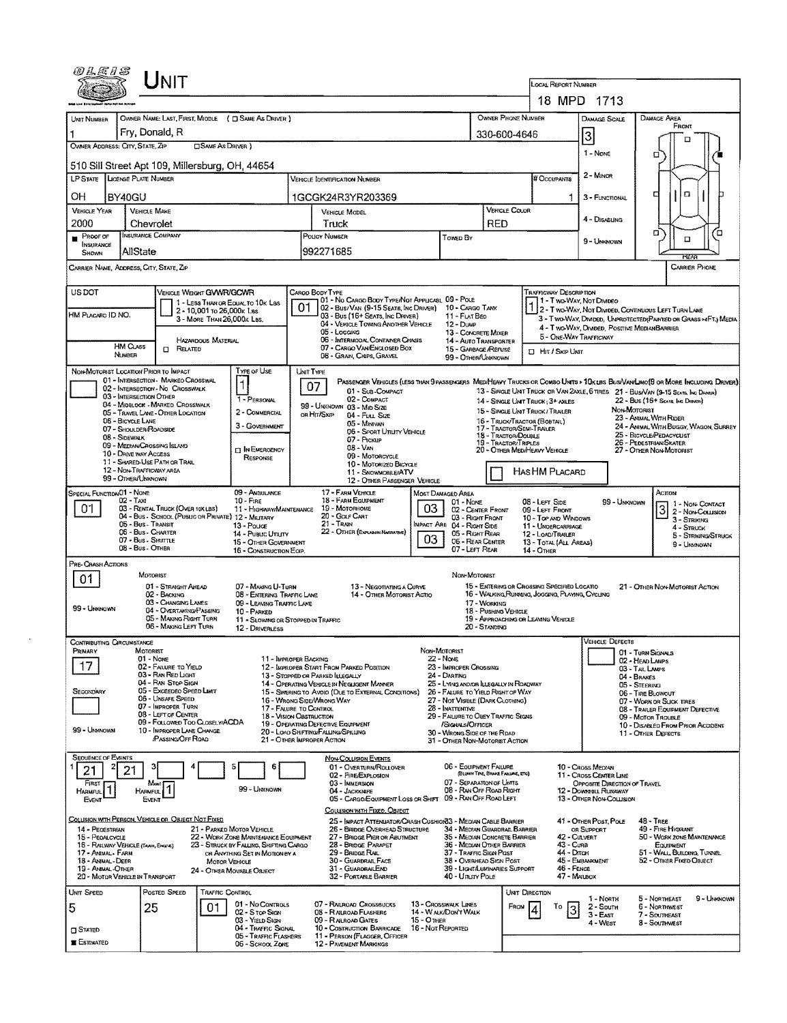| 0LE1S                                                                 |                                                                | <b>NIT</b>                                                                         |                            |                                                                                 |                                                                                               |                                                                                                                                              |                                                        |                                                                                    |                                       |                |                                                              |                                                                             |                                                                                                                             |  |  |  |
|-----------------------------------------------------------------------|----------------------------------------------------------------|------------------------------------------------------------------------------------|----------------------------|---------------------------------------------------------------------------------|-----------------------------------------------------------------------------------------------|----------------------------------------------------------------------------------------------------------------------------------------------|--------------------------------------------------------|------------------------------------------------------------------------------------|---------------------------------------|----------------|--------------------------------------------------------------|-----------------------------------------------------------------------------|-----------------------------------------------------------------------------------------------------------------------------|--|--|--|
|                                                                       |                                                                |                                                                                    |                            |                                                                                 |                                                                                               |                                                                                                                                              |                                                        |                                                                                    |                                       |                | LOCAL REPORT NUMBER                                          | 18 MPD 1713                                                                 |                                                                                                                             |  |  |  |
|                                                                       |                                                                |                                                                                    |                            | OWNER NAME: LAST, FIRST, MIDDLE ( C SAME AS DRIVER )                            |                                                                                               |                                                                                                                                              |                                                        |                                                                                    | OWNER PHONE NUMBER                    |                |                                                              |                                                                             | DAMAGE AREA                                                                                                                 |  |  |  |
| UNIT NUMBER                                                           | Fry, Donald, R                                                 |                                                                                    |                            |                                                                                 |                                                                                               |                                                                                                                                              |                                                        |                                                                                    | 330-600-4646                          |                |                                                              | DAMAGE SCALE                                                                | FRONT                                                                                                                       |  |  |  |
| OWNER ADDRESS: CITY, STATE, ZIP                                       |                                                                |                                                                                    | <b>CISAME AS DRIVER</b> )  |                                                                                 |                                                                                               |                                                                                                                                              |                                                        |                                                                                    |                                       |                |                                                              | $\vert$ 3                                                                   | п                                                                                                                           |  |  |  |
|                                                                       | 510 Sill Street Apt 109, Millersburg, OH, 44654                |                                                                                    |                            |                                                                                 |                                                                                               |                                                                                                                                              |                                                        |                                                                                    |                                       |                |                                                              | 1 None                                                                      | О                                                                                                                           |  |  |  |
| LP STATE LICENSE PLATE NUMBER                                         |                                                                |                                                                                    |                            |                                                                                 |                                                                                               | Vehicle Identification Number                                                                                                                |                                                        |                                                                                    |                                       |                | # Occupants                                                  | 2 - Minor                                                                   |                                                                                                                             |  |  |  |
| ОH                                                                    | BY40GU                                                         |                                                                                    |                            |                                                                                 |                                                                                               | 1GCGK24R3YR203369                                                                                                                            |                                                        |                                                                                    |                                       |                |                                                              | 3 - FUNCTIONAL                                                              | $\Box$<br>г                                                                                                                 |  |  |  |
| <b>VEHICLE YEAR</b>                                                   | <b>VEHICLE MAKE</b>                                            |                                                                                    |                            |                                                                                 |                                                                                               | <b>VEHICLE MODEL</b>                                                                                                                         |                                                        |                                                                                    |                                       | VEHICLE COLOR  |                                                              |                                                                             |                                                                                                                             |  |  |  |
| 2000                                                                  | Chevrolet<br><b>INSURANCE COMPANY</b>                          |                                                                                    |                            |                                                                                 |                                                                                               | Truck                                                                                                                                        |                                                        |                                                                                    | <b>RED</b>                            |                |                                                              | 4 - Disabling                                                               | о<br>с                                                                                                                      |  |  |  |
| PROOF OF<br>INSURANCE<br>SHOWN                                        | AllState                                                       |                                                                                    |                            |                                                                                 |                                                                                               | POUCY NUMBER<br>992271685                                                                                                                    |                                                        | Tower By                                                                           |                                       |                |                                                              | 9 - UNKNOWN                                                                 | о<br><b>RFAF</b>                                                                                                            |  |  |  |
| CARRIER NAME, ADDRESS, CITY, STATE, ZIP<br><b>CARRIER PHONE</b>       |                                                                |                                                                                    |                            |                                                                                 |                                                                                               |                                                                                                                                              |                                                        |                                                                                    |                                       |                |                                                              |                                                                             |                                                                                                                             |  |  |  |
| US DOT                                                                |                                                                | VEHICLE WEIGHT GVWR/GCWR                                                           |                            |                                                                                 |                                                                                               | CARGO BODY TYPE                                                                                                                              |                                                        |                                                                                    |                                       |                | <b>TRAFFICWAY DESCRIPTION</b>                                |                                                                             |                                                                                                                             |  |  |  |
| HM PLACARD ID NO.                                                     |                                                                |                                                                                    | 2 - 10,001 to 26,000 k Las | 1 - LESS THAN OR EQUAL TO 10K LBS                                               | 01                                                                                            | 01 - No CARGO BODY TYPE/NOT APPLICABL 09 - POLE<br>02 - Bus/VAN (9-15 SEATS, INC DRIVER) 10 - CARGO TANK<br>03 - Bus (16+ Seats, Inc Driver) |                                                        | 11 - FLAT BED                                                                      |                                       |                |                                                              | 1 - Two-Way, Not Divideo                                                    | 2 - T WO-WAY, NOT DIVIDED, CONTINUOUS LEFT TURN LANE                                                                        |  |  |  |
|                                                                       |                                                                |                                                                                    | 3 - MORE THAN 26,000K LBS. |                                                                                 |                                                                                               | 04 - VEHICLE TOWING ANOTHER VEHICLE<br>05 - Locang                                                                                           |                                                        | $12 - D$ UMP<br>13 - CONCRETE MIXER                                                |                                       |                |                                                              |                                                                             | 3 - T WO-WAY, DIVIDED, UNPROTECTED (PAINTED OR GRASS >AFT.) MEDIA<br>4 - Two-WAY, DIMDED, POSITIVE MEDIANBARRIER            |  |  |  |
|                                                                       | HM CLASS                                                       | $\Box$ Related                                                                     | HAZARDOUS MATERIAL         |                                                                                 |                                                                                               | 06 - INTERMODAL CONTAINER CHASIS<br>07 - CARGO VAN ENGLOSED BOX                                                                              |                                                        | 14 - Auto Transporter<br>15 - GARBAGE /REFUSE                                      |                                       |                | 5 - ONE-WAY TRAFFICWAY                                       |                                                                             |                                                                                                                             |  |  |  |
|                                                                       | NUMBER                                                         |                                                                                    |                            |                                                                                 |                                                                                               | 08 - GRAIN, CHIPS, GRAVEL                                                                                                                    |                                                        | 99 - On-ER/UNKNOWN                                                                 |                                       |                | <b>D</b> HIT / SKIP UNIT                                     |                                                                             |                                                                                                                             |  |  |  |
| NON-MOTORIST LOCATION PRIOR TO IMPACT                                 |                                                                | 01 - INTERSECTION - MARKEO CROSSWAL                                                |                            | TYPE OF USE<br>$\mathbf 1$                                                      |                                                                                               | UNIT TYPE                                                                                                                                    |                                                        |                                                                                    |                                       |                |                                                              |                                                                             | PASSENGER VEHICLES (LESS THAN 9 PASSENGERS MEDIHEAVY TRUCKS OR COMBO UNTS > 10K LBS BUS/VAWLIMO(9 OR MORE INCLUDING DRIVER) |  |  |  |
|                                                                       | 03 - INTERSECTION OTHER                                        | 02 - INTERSECTION - NO CROSSWALK                                                   |                            | 1 - PERSONAL                                                                    |                                                                                               | 07<br>01 - Sus-COMPACT<br>02 - COMPACT                                                                                                       |                                                        |                                                                                    |                                       |                | 14 - SINGLE UNIT TRUCK; 3+ AXLES                             |                                                                             | 13 - SINGLE UNIT TRUCK OR VAN 2AXLE, 6 TIRES 21 - BUS/VAN (9-15 SEATS, INC DRAGE)<br>22 - Bus (16+ Seats Ing Drawin)        |  |  |  |
|                                                                       |                                                                | 04 - MIOBLOCK - MARKED CROSSWALK<br>05 - Travel LANE - OTHER LOCATION              |                            | 2 - CONMERCIAL                                                                  |                                                                                               | 99 - UNKNOWN 03 - MID SIZE<br>OR HIT/SKIP<br>04 - Fuu, Size                                                                                  |                                                        |                                                                                    |                                       |                | 15 - SINGLE UNIT TRUCK/TRAILER                               |                                                                             | NON-MOTORIST<br>23 - ANIMAL WITH RIDER                                                                                      |  |  |  |
|                                                                       | <b>06 - BICYCLE LANE</b><br>07 - SHOULDER/ROADSIDE             |                                                                                    |                            | 3 - Government                                                                  |                                                                                               | 05 - Minivan<br>06 - SPORT UTILITY VEHICLE                                                                                                   |                                                        |                                                                                    | 17 - TRACTOR/SEMI-TRAILER             |                | 16 - TRUCK/TRACTOR (BOBTAL)                                  |                                                                             | 24 - ANIMAL WITH BUGGY, WAGON, SURREY<br>25 - BICYCLE/PEDACYCLIST                                                           |  |  |  |
|                                                                       | 08 - SIDEWALK<br>09 - MEDIAN CROSSING ISLAND                   |                                                                                    |                            | <b>DINEMERGENCY</b>                                                             |                                                                                               | 18 - Tractor/Double<br>07 - Pickup<br><b>19 - TRACTOR/TROPLES</b><br>$08 - VAN$<br>20 - OTHER MEDIHEAVY VEHICLE                              |                                                        |                                                                                    |                                       |                |                                                              |                                                                             | 26 - Pedestrian/Skater<br>27 - Oner Non-Motorist                                                                            |  |  |  |
|                                                                       | 10 - DRIVE WAY ACCESS<br>12 - NON-TRAFFICWAY AREA              | 11 - SHARED-USE PATH OR TRAIL                                                      |                            | RESPONSE                                                                        |                                                                                               | 09 - Motorcycle<br>10 - Motorizeo Bicycle                                                                                                    |                                                        |                                                                                    |                                       |                |                                                              |                                                                             |                                                                                                                             |  |  |  |
|                                                                       | 99 - OTHER/UNKNOWN                                             |                                                                                    |                            |                                                                                 |                                                                                               | 11 - SNOWMOBILE/ATV<br>12 - OTHER PASSENGER VEHICLE                                                                                          |                                                        |                                                                                    |                                       |                | HASHM PLACARD                                                |                                                                             |                                                                                                                             |  |  |  |
| SPECIAL FUNCTION 01 - NOME                                            | 02 - Tax                                                       |                                                                                    |                            | 09 - AMauLANCE<br>$10 -$ FIRE                                                   |                                                                                               | 17 - FARN VEHICLE<br>18 - FARM EQUIPMENT                                                                                                     |                                                        | Most Damaged Area<br>01 - Nove                                                     |                                       |                | 08 - LEFT SIDE                                               | 99 - UNKNOWN                                                                | ACTION<br>1 - NON-CONTACT                                                                                                   |  |  |  |
| 01                                                                    |                                                                | 03 - RENTAL TRUCK (OVER 10KLBS)                                                    |                            | 11 - HIGHWAY/MAINTENANCE<br>04 - Bus - SCHOOL (PUBLIC OR PRIVATE) 12 - MILITARY |                                                                                               | 19 - Мотовноме<br>20 - GOLF CART                                                                                                             | 03                                                     | 02 - CENTER FRONT<br>03 - Right Front                                              |                                       |                | 09 - LEFT FRONT<br>10 - Top AND WINDOWS                      |                                                                             | 3<br>2 - Non-Counsion<br>3 - STRIKING                                                                                       |  |  |  |
|                                                                       | 05 - Bus - Transit<br>06 - Bus - Charter<br>07 - Bus - SHUTTLE |                                                                                    |                            | 13 - Pouce<br>14 - Pusuc Unury                                                  |                                                                                               | 21 - TRAIN<br>22 - OTHER (EXPLANIN NARATIVE)                                                                                                 | 03                                                     | MPACT ARE 04 - RIGHT SIDE<br>05 - RIGHT REAR                                       |                                       |                | 11 - UNDERCARRIAGE<br>12 - LOAD/TRAILER                      |                                                                             | $4 -$ Struck<br>5 - Striking/Struck                                                                                         |  |  |  |
|                                                                       | 08 - Bus - OTHER                                               |                                                                                    |                            | 15 - OTHER GOVERNMENT<br>16 - CONSTRUCTION ECIP.                                |                                                                                               |                                                                                                                                              |                                                        | 06 - REAR CENTER<br>07 - LEFT REAR                                                 |                                       |                | 13 - TOTAL (ALL AREAS)<br>$14 -$ OTHER                       |                                                                             | 9 - UMMOWN                                                                                                                  |  |  |  |
| PRE-CRASH ACTIONS                                                     | MOTORIST                                                       |                                                                                    |                            |                                                                                 |                                                                                               |                                                                                                                                              |                                                        | Non-Motorust                                                                       |                                       |                |                                                              |                                                                             |                                                                                                                             |  |  |  |
| 01                                                                    |                                                                | 01 - STRAIGHT AHEAD                                                                |                            | 07 - MAKING U-TURN                                                              |                                                                                               | 13 - NEGOTIATING A CURVE                                                                                                                     |                                                        |                                                                                    |                                       |                | 15 - ENTERING OR CROSSING SPECIFIED LOCATIO                  |                                                                             | 21 - OTHER NON-MOTORIST ACTION                                                                                              |  |  |  |
| 99 - UMXNOWN                                                          |                                                                | 02 - BACKING<br>03 - CHANGING LANES<br>04 - OVERTAKING/PASSING                     |                            | <b>08 - ENTERING TRAFFIC LANE</b><br>09 - LEAVING TRAFFIC LANE                  | 14 - OTHER MOTORIST ACTIO<br>16 - WALKING, RUNNING, JOSGING, PLAYING, CYCLING<br>17 - WORKING |                                                                                                                                              |                                                        |                                                                                    |                                       |                |                                                              |                                                                             |                                                                                                                             |  |  |  |
|                                                                       |                                                                | 05 - MAKING RIGHT TURN<br>06 - MAKING LEFT TURN                                    |                            | 10 - PARKED<br>11 - SLOWING OR STOPPED IN TRAFFIC                               |                                                                                               |                                                                                                                                              |                                                        |                                                                                    | 18 - Pushing Vehicle<br>20 - Standing |                | 19 - APPROACHING OR LEAVING VEHICLE                          |                                                                             |                                                                                                                             |  |  |  |
| CONTRIBUTING CIRCUMSTANCE                                             |                                                                |                                                                                    |                            | 12 - DRIVERLESS                                                                 |                                                                                               |                                                                                                                                              |                                                        |                                                                                    |                                       |                |                                                              | <b>VEHICLE DEFECTS</b>                                                      |                                                                                                                             |  |  |  |
| Prinary                                                               | MOTORIST<br>01 - Nove                                          |                                                                                    |                            | 11 - IMPROPER BACKING                                                           |                                                                                               |                                                                                                                                              | Non-Motorist                                           | 22 - Nove                                                                          |                                       |                |                                                              |                                                                             | 01 - TURN SIGNALS<br>02 - HEAD LAUPS                                                                                        |  |  |  |
|                                                                       |                                                                | 02 - FAILURE TO YIELD<br>03 - RAN RED LIGHT                                        |                            |                                                                                 |                                                                                               | 12 - IMPROPER START FROM PARKED POSITION<br>13 - STOPPED OR PARKED LLEGALLY                                                                  |                                                        | 23 - IMPROPER CROSSING<br>24 - DARTING                                             |                                       |                |                                                              |                                                                             | 03 - TAIL LAMPS<br>04 - BRAKES                                                                                              |  |  |  |
| SECONDARY                                                             |                                                                | 04 - RAN STOP SIGN<br>05 - Excespeo Speep Limit                                    |                            |                                                                                 |                                                                                               | 14 - OPERATING VEHICLE IN NEGLIGENT MANNER<br>15 - SWERING TO AVOID (DUE TO EXTERNAL CONDITIONS)                                             |                                                        | 25 - LYING AND/OR LLEGALLY IN ROADWAY<br>26 - FALURE TO YIELD RIGHT OF WAY         |                                       |                |                                                              | 05 - STEERING<br>06 - Tige Browout                                          |                                                                                                                             |  |  |  |
|                                                                       |                                                                | 06 - UNSAFE SPEED<br>07 - IMPROPER TURN                                            |                            | 17 - FALURE TO CONTROL                                                          |                                                                                               | 16 - WRONG SIDE/WRONG WAY                                                                                                                    |                                                        | 27 - NOT VISIBLE (DARK CLOTHING)<br>28 - Inattentive                               |                                       |                | 07 - WORN OR SLICK TIRES<br>08 - TRAILER EQUIPMENT DEFECTIVE |                                                                             |                                                                                                                             |  |  |  |
| 99 - Unknown                                                          |                                                                | 08 - LEFT OF CENTER<br>09 - FOLLOWED TOO CLOSELY/ACDA<br>10 - IMPROPER LANE CHANGE |                            |                                                                                 |                                                                                               | <b>18 - VISION OBSTRUCTION</b><br>19 - OPERATING DEFECTIVE EQUIPMENT                                                                         | 29 - FAILURE TO OBEY TRAFFIC SIGNS<br>/SIGNALS/OFFICER |                                                                                    |                                       |                |                                                              |                                                                             | 09 - MOTOR TROUBLE<br>10 - DISABLED FROM PRIOR ACCIDENT                                                                     |  |  |  |
|                                                                       |                                                                | /PASSING OFF ROAD                                                                  |                            |                                                                                 |                                                                                               | 20 - LOAD SHIFTING/FALLING/SPILLING<br>21 - OTHER IMPROPER ACTION                                                                            |                                                        | 30 - WRONG SIDE OF THE RDAD<br>31 - OTHER NON-MOTORIST ACTION                      |                                       |                |                                                              |                                                                             | 11 - OTHER DEFECTS                                                                                                          |  |  |  |
| <b>SEQUENCE OF EVENTS</b>                                             |                                                                |                                                                                    |                            |                                                                                 |                                                                                               | <b>NON-COLLISION EVENTS</b>                                                                                                                  |                                                        |                                                                                    |                                       |                |                                                              |                                                                             |                                                                                                                             |  |  |  |
| 21<br>FIRST                                                           | 21<br>Most                                                     |                                                                                    |                            | 6                                                                               |                                                                                               | 01 - OVERTURN/ROLLOVER<br>02 - FIRE/EXPLOSION<br>03 - IMMERSION                                                                              |                                                        | 06 - EQUIPMENT FAILURE<br>07 - SEPARATION OF UNITS                                 | (BLOWN TIRE, BRAKE FAILURE, ETC)      |                |                                                              | 10 - Cross Median<br>11 - CROSS CENTER LINE<br>OPPOSITE DIRECTION OF TRAVEL |                                                                                                                             |  |  |  |
| <b>HARMFUL</b><br>Event                                               | <b>HARMFUL</b><br>Event                                        |                                                                                    |                            | 99 - Unknown                                                                    |                                                                                               | 04 - JACKKNIFE<br>05 - CARGO/EQUIPMENT LOSS OR SHIFT                                                                                         |                                                        | 08 - RAN OFF ROAD RIGHT<br>09 - RAN OFF ROAD LEFT                                  |                                       |                |                                                              | 12 - DOWNSUL RUNAWAY<br>13 - OTHER NON-COLLISION                            |                                                                                                                             |  |  |  |
|                                                                       |                                                                |                                                                                    |                            |                                                                                 |                                                                                               | COLUSION WITH FIXED, OBJECT                                                                                                                  |                                                        |                                                                                    |                                       |                |                                                              |                                                                             |                                                                                                                             |  |  |  |
| COLLISION WITH PERSON, VEHICLE OR OBJECT NOT FIXED<br>14 - PEDESTRIAN |                                                                |                                                                                    |                            | 21 - PARKED MOTOR VEHICLE                                                       |                                                                                               | 25 - IMPACT ATTENUATOR/CRASH CUSHION33 - MEDIAN CABLE BARRIER<br>26 - BRIDGE OVERHEAD STRUCTURE                                              |                                                        | 34 - Median Guardral Barrier                                                       |                                       |                |                                                              | 41 - OTHER POST, POLE<br>OR SUPPORT                                         | $48 -$ TREE<br>49 - FIRE HYDRANT                                                                                            |  |  |  |
| 15 - PEOALCYCLE<br>16 - RAILWAY VEHICLE (TRAIN, ENGINE)               |                                                                |                                                                                    |                            | 22 - WORK ZONE MAINTENANCE EQUIPMENT<br>23 - STRUCK BY FALLING, SHIFTING CARGO  |                                                                                               | 27 - BRIDGE PIER OR ABUTMENT<br>28 - BRIDGE PARAPET                                                                                          |                                                        | 35 - MEDIAN CONCRETE BARRIER<br>36 - MEDIAN OTHER BARRIER                          |                                       |                | 42 - Culvert<br>43 - Cuna<br>44 - Drran                      |                                                                             | 50 - WORK ZONE MAINTENANCE<br>EQUIPMENT                                                                                     |  |  |  |
| 17 - ANIMAL - FARM<br>18 - Annal - Deer<br>19 - Animal -Other         |                                                                |                                                                                    | <b>MOTOR VEHICLE</b>       | OR ANYTHING SET IN MOTION BY A                                                  |                                                                                               | 29 - BRIDGE RAIL<br>30 - GUARDRAIL FACE<br>31 - GUARORALEND                                                                                  |                                                        | 37 - TRAFFIC SIGN Past<br>38 - OVERHEAD SIGN POST<br>39 - LIGHT/LUMINARIES SUPPORT |                                       |                | 46 - FENCE                                                   | 45 - EMBANKMENT                                                             | 51 - WALL, BUILDING, TUNNEL<br>52 - OTHER FIXED OBJECT                                                                      |  |  |  |
| 20 - MOTOR VEHICLE IN TRANSPORT                                       |                                                                |                                                                                    |                            | 24 - OTHER MOVABLE OBJECT                                                       |                                                                                               | 32 - PORTABLE BARRIER                                                                                                                        |                                                        | 40 - Unury Pous                                                                    |                                       |                | 47 - MAILBOX                                                 |                                                                             |                                                                                                                             |  |  |  |
| UNIT SPEED                                                            |                                                                | POSTED SPEED                                                                       | <b>TRAFFIC CONTROL</b>     |                                                                                 |                                                                                               |                                                                                                                                              |                                                        |                                                                                    |                                       | Unit Direction |                                                              | 1 - North                                                                   | 5 - NORTHEAST<br>9 - UNKNOWN                                                                                                |  |  |  |
| 5                                                                     | 25                                                             |                                                                                    | 01                         | 01 - No Controls<br>02 - S TOP SIGN<br>03 - YIELD SIGN                          |                                                                                               | 07 - RAILROAD CROSSBUCKS<br>08 - RAILROAD FLASHERS<br>09 - RAILROAD GATES                                                                    | 15 - Отнев                                             | <b>13 - CROSSWALK LINES</b><br>14 - WALK/DON'T WALK                                |                                       | FROM           | То                                                           | 2 - South<br>$3 - EAST$                                                     | 6 - Northwest<br>7 - Southeast                                                                                              |  |  |  |
| $\square$ Stated                                                      |                                                                |                                                                                    |                            | 04 - TRAFFIC SIGNAL<br>05 - TRAFFIC FLASHERS                                    |                                                                                               | 10 - Costruction Barricade<br>11 - PERSON (FLAGGER, OFFICER                                                                                  | 16 - Not Reported                                      |                                                                                    |                                       |                |                                                              | 4 - West                                                                    | 8 - Southwest                                                                                                               |  |  |  |
| <b>E</b> Estimated                                                    |                                                                |                                                                                    |                            | 06 - SCHOOL ZONE                                                                |                                                                                               | <b>12 - PAVEMENT MARKINGS</b>                                                                                                                |                                                        |                                                                                    |                                       |                |                                                              |                                                                             |                                                                                                                             |  |  |  |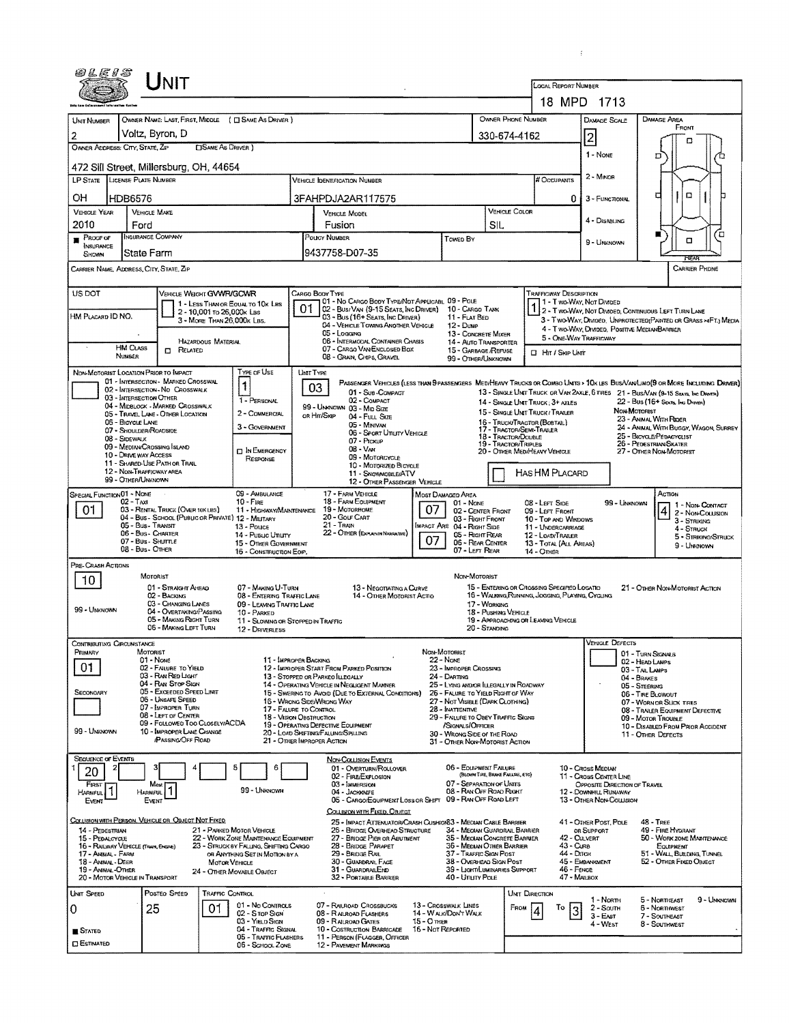| 0 L E 1 S                                |                                                                                                                                                                                                                                                                                                                                                                             |                                                                                 |                                                         |                                                                          |                                                   |                                                                                                                               |                                         |                                                                                                                |                                                                                                |                                                    |                                                                                                                                              |                                                                                   |                 |                                                                                                                         |                                                                                                           |   |
|------------------------------------------|-----------------------------------------------------------------------------------------------------------------------------------------------------------------------------------------------------------------------------------------------------------------------------------------------------------------------------------------------------------------------------|---------------------------------------------------------------------------------|---------------------------------------------------------|--------------------------------------------------------------------------|---------------------------------------------------|-------------------------------------------------------------------------------------------------------------------------------|-----------------------------------------|----------------------------------------------------------------------------------------------------------------|------------------------------------------------------------------------------------------------|----------------------------------------------------|----------------------------------------------------------------------------------------------------------------------------------------------|-----------------------------------------------------------------------------------|-----------------|-------------------------------------------------------------------------------------------------------------------------|-----------------------------------------------------------------------------------------------------------|---|
|                                          |                                                                                                                                                                                                                                                                                                                                                                             | Unit                                                                            |                                                         |                                                                          |                                                   |                                                                                                                               |                                         |                                                                                                                |                                                                                                |                                                    | LOCAL REPORT NUMBER                                                                                                                          |                                                                                   |                 |                                                                                                                         |                                                                                                           |   |
|                                          |                                                                                                                                                                                                                                                                                                                                                                             |                                                                                 |                                                         |                                                                          |                                                   |                                                                                                                               |                                         |                                                                                                                |                                                                                                |                                                    |                                                                                                                                              | 18 MPD 1713                                                                       |                 |                                                                                                                         |                                                                                                           |   |
| UNIT NUMBER<br>2                         | Voltz, Byron, D                                                                                                                                                                                                                                                                                                                                                             |                                                                                 |                                                         | OWNER NAME: LAST, FIRST, MIDDLE ( C SAME AS DRIVER )                     |                                                   |                                                                                                                               |                                         |                                                                                                                |                                                                                                | OWNER PHONE NUMBER<br>330-674-4162                 |                                                                                                                                              | <b>DAMAGE SCALE</b><br>$\overline{2}$                                             |                 | DAMAGE AREA                                                                                                             | FRONT                                                                                                     |   |
|                                          | OWNER ADDRESS: CITY, STATE, ZIP                                                                                                                                                                                                                                                                                                                                             |                                                                                 | <b>CISAME AS DRIVER</b> )                               |                                                                          |                                                   |                                                                                                                               |                                         |                                                                                                                |                                                                                                |                                                    |                                                                                                                                              | $1 - None$                                                                        |                 | D                                                                                                                       | п                                                                                                         |   |
|                                          | 472 Sill Street, Millersburg, OH, 44654<br>LP STATE LICENSE PLATE NUMBER                                                                                                                                                                                                                                                                                                    |                                                                                 |                                                         |                                                                          |                                                   |                                                                                                                               |                                         |                                                                                                                |                                                                                                |                                                    |                                                                                                                                              | $2 -$ Minon                                                                       |                 |                                                                                                                         |                                                                                                           |   |
| ΟН                                       | HDB6576                                                                                                                                                                                                                                                                                                                                                                     |                                                                                 |                                                         |                                                                          |                                                   | <b>VEHICLE IDENTIFICATION NUMBER</b><br>3FAHPDJA2AR117575                                                                     |                                         |                                                                                                                |                                                                                                |                                                    | # Occupants                                                                                                                                  | 0.<br>3 - FUNCTIONAL                                                              |                 | о                                                                                                                       | O                                                                                                         |   |
| <b>VEHICLE YEAR</b>                      | <b>VEHICLE MAKE</b>                                                                                                                                                                                                                                                                                                                                                         |                                                                                 |                                                         |                                                                          |                                                   | VEHICLE MODEL                                                                                                                 |                                         |                                                                                                                |                                                                                                | <b>VEHICLE COLOR</b>                               |                                                                                                                                              | 4 - DISABUNG                                                                      |                 |                                                                                                                         |                                                                                                           |   |
| 2010<br>$P$ Roof of                      | Ford<br>INSURANCE COMPANY                                                                                                                                                                                                                                                                                                                                                   |                                                                                 |                                                         |                                                                          |                                                   | Fusion<br>POUCY NUMBER                                                                                                        |                                         | Toweb By                                                                                                       | SIL                                                                                            |                                                    |                                                                                                                                              |                                                                                   |                 | ■                                                                                                                       | α                                                                                                         | □ |
| INSURANCE<br>SHOWN                       | State Farm                                                                                                                                                                                                                                                                                                                                                                  |                                                                                 |                                                         |                                                                          |                                                   | 9437758-D07-35                                                                                                                |                                         |                                                                                                                |                                                                                                |                                                    |                                                                                                                                              | 9 - UNKNOWN                                                                       |                 |                                                                                                                         |                                                                                                           |   |
|                                          | CARRIER NAME, ADDRESS, CITY, STATE, ZIP                                                                                                                                                                                                                                                                                                                                     |                                                                                 |                                                         |                                                                          |                                                   |                                                                                                                               |                                         |                                                                                                                |                                                                                                |                                                    |                                                                                                                                              |                                                                                   |                 |                                                                                                                         | <b>CARRIER PHONE</b>                                                                                      |   |
| US DOT                                   |                                                                                                                                                                                                                                                                                                                                                                             | VEHICLE WEIGHT GVWR/GCWR                                                        |                                                         | 1 - LESS THAN OR EQUAL TO 10K LBS                                        | Cargo Body Type                                   | 01 - No CARGO BODY TYPE/NOT APPLICABL 09 - POLE                                                                               |                                         |                                                                                                                |                                                                                                |                                                    | <b>TRAFFICWAY DESCRIPTION</b>                                                                                                                | 1 - T wo Way, Not Divided                                                         |                 |                                                                                                                         |                                                                                                           |   |
| HM PLACARD ID NO.                        |                                                                                                                                                                                                                                                                                                                                                                             |                                                                                 | 2 - 10,001 To 26,000k Las<br>3 - MORE THAN 26,000K LBS. |                                                                          | 01                                                | 02 - Bus/Van (9-15 Seats, Inc Driver)<br>03 - Bus (16+ Seats, Inc Driver)                                                     |                                         | 10 - CARGO TANK<br>11 - FLAT BED                                                                               |                                                                                                |                                                    |                                                                                                                                              |                                                                                   |                 | 2 - T WO-WAY, NOT DIVIDED, CONTINUOUS LEFT TURN LANE<br>3 - TWO-WAY, DIMOED, UNPROTECTED (PAINTED OR GRASS >4FT.) MEDIA |                                                                                                           |   |
|                                          |                                                                                                                                                                                                                                                                                                                                                                             |                                                                                 | HAZARDOUS MATERIAL                                      |                                                                          |                                                   | 04 - VEHICLE TOWING ANOTHER VEHICLE<br>05 - Logging<br>06 - INTERMODAL CONTAINER CHASIS                                       |                                         | $12 - D$ ump<br>13 - CONCRETE MIXER<br>14 - AUTO TRANSPORTER                                                   |                                                                                                |                                                    |                                                                                                                                              | 5 - ONE-WAY TRAFFICWAY                                                            |                 | 4 - Two-Way, Divided, Positive MedianBarrier                                                                            |                                                                                                           |   |
|                                          | <b>HM CLASS</b><br>NUMBER                                                                                                                                                                                                                                                                                                                                                   | <b>ELATED</b>                                                                   |                                                         |                                                                          |                                                   | 07 - CARGO VAN ENCLOSED BOX<br>08 - GRAIN, CHIPS, GRAVEL                                                                      |                                         | 15 - GARBAGE /REFUSE<br>99 - OTHER/UNKNOWN                                                                     |                                                                                                |                                                    | □ Hrt / Skap Ukm                                                                                                                             |                                                                                   |                 |                                                                                                                         |                                                                                                           |   |
|                                          | NON-MOTORIST LOCATION PRIOR TO IMPACT<br>01 - INTERSECTION - MARKED CROSSWAL                                                                                                                                                                                                                                                                                                |                                                                                 |                                                         | TYPE OF USE                                                              | UNIT TYPE                                         | PASSENGER VEHICLES (LESS THAN PRASSENGERS MEDIHEAVY TRUCKS OR COMBO UNITS > 10K LBS BUS/VAN/LIMO(9 OR MORE INCLUDING DRIVER)  |                                         |                                                                                                                |                                                                                                |                                                    |                                                                                                                                              |                                                                                   |                 |                                                                                                                         |                                                                                                           |   |
|                                          | 02 - INTERSECTION-NO CROSSWALK<br>03 - INTERSECTION OTHER                                                                                                                                                                                                                                                                                                                   |                                                                                 |                                                         | 1<br>1 - PERSONAL                                                        | 03                                                | 01 - Sue-COMPACT<br>02 - COMPACT                                                                                              |                                         |                                                                                                                |                                                                                                |                                                    | 14 - SINGLE UNIT TRUCK; 3+ AXLES                                                                                                             |                                                                                   |                 | 13 - SINGLE UNIT TRUCK OR VAN 2AXLE, 6 TRES 21 - BUS/VAN (9-15 SEATS, INC DRIVER)<br>22 - Bus (16+ Seats, Ind Draver)   |                                                                                                           |   |
|                                          | 04 - MIDBLOCK - MARKED CROSSWALK<br>05 - Travel LANE - OTHER LOCATION<br>06 - BICYCLE LANE                                                                                                                                                                                                                                                                                  |                                                                                 |                                                         | 2 - COMMERCIAL                                                           | OR HIT/SKIP                                       | 99 - UNKNOWN 03 - Mito Size<br>04 - FULL SIZE<br>05 - Minivan                                                                 |                                         |                                                                                                                |                                                                                                |                                                    | 15 - SINGLE UNIT TRUCK / TRAILER<br>16 - TRUCK/TRACTOR (BOSTAL)                                                                              |                                                                                   | NON-MOTORIST    | 23 - ANIMAL WITH RIDER                                                                                                  |                                                                                                           |   |
|                                          | 07 - SHOULDER/ROADSIDE<br>08 - SIDEWALK                                                                                                                                                                                                                                                                                                                                     |                                                                                 |                                                         | 3 - GOVERNMENT                                                           |                                                   | 06 - Sport Unuty Vehicle<br>07 - PICKUP                                                                                       |                                         |                                                                                                                |                                                                                                | <b>18 - TRACTOR/DOUBLE</b><br>19 - TRACTOR/TRIPLES | 24 - ANIMAL WITH BUGGY, WAGON, SURREY<br>17 - TRACTOR/SEMI-TRAILER<br>25 - BICYCLE/PEDACYCLIST<br>26 - PEDESTRIAN/SKATER                     |                                                                                   |                 |                                                                                                                         |                                                                                                           |   |
|                                          | 09 - MEDIAN CROSSING ISLAND<br>10 - DRIVE WAY ACCESS<br>11 - SHARED-USE PATH OR TRAIL                                                                                                                                                                                                                                                                                       |                                                                                 |                                                         | <b>DIN EMERGENCY</b><br>RESPONSE                                         |                                                   | $08 - V_{AN}$<br><b>US-MOTORCYCLE</b><br>10 - MOTORIZED BICYCLE                                                               |                                         |                                                                                                                |                                                                                                |                                                    | 20 - Other MediHeavy Vehicle                                                                                                                 |                                                                                   |                 | 27 - OTHER NON-MOTORIST                                                                                                 |                                                                                                           |   |
|                                          | 12 - NON-TRAFFICWAY AREA<br>99 - OTHER/UNKNOWN                                                                                                                                                                                                                                                                                                                              |                                                                                 |                                                         |                                                                          |                                                   | 11 - SNOWMOBILE/ATV<br>12 - OTHER PASSENGER VEHICLE                                                                           |                                         |                                                                                                                |                                                                                                |                                                    | HAS HM PLACARD                                                                                                                               |                                                                                   |                 |                                                                                                                         |                                                                                                           |   |
| 01                                       | SPECIAL FUNCTION 01 - NONE<br>09 - AMBULANCE<br>$02 - TAM$<br>$10 -$ Figg<br>03 - RENTAL TRUCK (OVER 10KLBS)<br>11 - HIGHWAY/MAINTENANCE<br>04 - Bus - SCHOOL (PUBLIC OR PRIVATE) 12 - MELITARY<br>05 - Bus - Transit<br>13 - Pouce<br>06 - Bus - Charter<br>14 - Pusuc Unury<br>07 - Bus - SHUTTLE<br>15 - OTHER GOVERNMENT<br>08 - Bus - OTHER<br>16 - CONSTRUCTION EOIP, |                                                                                 |                                                         |                                                                          |                                                   | 17 - FARM VEHICLE<br>18 - FARM EQUIPMENT<br>19 - MOTORHOME<br>20 - Gour Cart<br>21 - TRAIN<br>22 - OTHER (EXPLANIN NARRATIVE) | 07<br>07                                | Most Damaged Area<br>01 - None<br>MPACT ARE 04 - RIGHT SIDE                                                    | 02 - CENTER FRONT<br>03 - RIGHT FRONT<br>05 - Right Rear<br>06 - REAR CENTER<br>07 - LEFT REAR |                                                    | 08 - LEFT SIDE<br>09 - LEFT FRONT<br>10 - TOP AND WINDOWS<br>11 - UNDERCARRIAGE<br>12 - LOAD/TRAILER<br>13 - TOTAL (ALL AREAS)<br>14 - OTHER |                                                                                   | 99 - Unknown    | Action                                                                                                                  | 1 - Non-Contact<br>4 2 - Non-Coursion<br>3 - STRIKING<br>4 - STRUCK<br>5 - Striking/Struck<br>9 - Unknown |   |
| PRE-CRASH ACTIONS                        | MOTORIST                                                                                                                                                                                                                                                                                                                                                                    |                                                                                 |                                                         |                                                                          |                                                   |                                                                                                                               |                                         | Non-Motorist                                                                                                   |                                                                                                |                                                    |                                                                                                                                              |                                                                                   |                 |                                                                                                                         |                                                                                                           |   |
| 10                                       |                                                                                                                                                                                                                                                                                                                                                                             | 01 - STRAIGHT AHEAD<br>02 - BACKING                                             |                                                         | 07 - MAKING U-TURN<br>08 - ENTERING TRAFFIC LANE                         |                                                   | 13 - Negotiating a Curve<br>14 - OTHER MOTORIST ACTIO                                                                         |                                         |                                                                                                                |                                                                                                |                                                    | 15 - ENTERING OR CROSSING SPECIFIED LOCATIO<br>16 - WALKING, RUNNING, JOGGING, PLAYING, CYCLING                                              |                                                                                   |                 | 21 - OTHER NON-MOTORIST ACTION                                                                                          |                                                                                                           |   |
| 99 - UNKNOWN                             |                                                                                                                                                                                                                                                                                                                                                                             | 03 - CHANGING LANES<br>04 - OVERTAKING/PASSING<br>05 - MAKING RIGHT TURN        |                                                         | 09 - LEAVING TRAFFIC LANE<br>10 - Parked                                 |                                                   |                                                                                                                               |                                         |                                                                                                                | 17 - WORKING<br>18 - Pushing Vehicle                                                           |                                                    |                                                                                                                                              |                                                                                   |                 |                                                                                                                         |                                                                                                           |   |
|                                          |                                                                                                                                                                                                                                                                                                                                                                             | 06 - MAKING LEFT TURN                                                           |                                                         | 11 - SLOWING OR STOPPED IN TRAFFIC<br>12 - DRIVERLESS                    |                                                   |                                                                                                                               |                                         |                                                                                                                | 20 - Standing                                                                                  |                                                    | 19 - APPROACHING OR LEAVING VEHICLE                                                                                                          |                                                                                   |                 |                                                                                                                         |                                                                                                           |   |
| PRIMARY                                  | CONTRIBUTING CIRCUMSTANCE<br>MOTORIST<br>01 - None                                                                                                                                                                                                                                                                                                                          |                                                                                 |                                                         |                                                                          | 11 - IMPROPER BACKING                             |                                                                                                                               |                                         | Non-Motorist<br>22 - Nove                                                                                      |                                                                                                |                                                    |                                                                                                                                              |                                                                                   | VEHICLE DEFECTS | 01 - TURN SIGNALS                                                                                                       |                                                                                                           |   |
| 01                                       |                                                                                                                                                                                                                                                                                                                                                                             | 02 - FAILURE TO YIELD<br>03 - RAN RED LIGHT                                     |                                                         |                                                                          |                                                   | 12 - IMPROPER START FROM PARKED POSITION<br>13 - STOPPED OR PARKEO ILLEGALLY                                                  |                                         | 23 - IMPROPER CROSSING<br>24 - DARTING                                                                         |                                                                                                |                                                    |                                                                                                                                              |                                                                                   |                 | 02 - HEAD LAMPS<br>03 - TAILLANPS<br>04 - BRAKES                                                                        |                                                                                                           |   |
| SECONDARY                                |                                                                                                                                                                                                                                                                                                                                                                             | 04 - RAN STOP SIGN<br>05 - Exceeded Speed Limit<br>06 - UNSAFE SPEED            |                                                         |                                                                          |                                                   | 14 - OPERATING VEHICLE IN NEGLIGENT MANNER<br>15 - Swering to Avoid (Due to External Conditions)                              |                                         | 25 - LYING ANDIOR LLEGALLY IN ROADWAY<br>26 - FALURE TO YIELD RIGHT OF WAY<br>27 - NOT VISIBLE (DARK CLOTHING) |                                                                                                |                                                    |                                                                                                                                              |                                                                                   |                 | 05 - STEERING<br>06 - TIRE BLOWOUT                                                                                      |                                                                                                           |   |
|                                          |                                                                                                                                                                                                                                                                                                                                                                             | 07 - IMPROPER TURN<br>08 - LEFT OF CENTER                                       |                                                         |                                                                          | 17 - FALURE TO CONTROL<br>18 - VISION OBSTRUCTION | 16 - Wrong Side/Wrong WAY                                                                                                     |                                         | 28 - INATTENTIVE<br>29 - FAILURE TO OBEY TRAFFIC SIGNS                                                         |                                                                                                |                                                    |                                                                                                                                              |                                                                                   |                 | 07 - WORN OR SLICK TIRES<br>08 - TRAILER EQUIPMENT DEFECTIVE<br>09 - MOTOR TROUBLE                                      |                                                                                                           |   |
| 99 - UNKNOWN                             |                                                                                                                                                                                                                                                                                                                                                                             | 09 - FOLLOWED TOO CLOSELY/ACDA<br>10 - IMPROPER LANE CHANGE<br>PASSING OFF ROAD |                                                         |                                                                          | 21 - OTHER IMPROPER ACTION                        | 19 - OPERATING DEFECTIVE EQUIPMENT<br>20 - LOAD SHIFTING/FALUNG/SPILLING                                                      |                                         | /SIGNALS/OFFICER<br>30 - WRONG SIDE OF THE ROAD<br>31 - OTHER NON-MOTORIST ACTION                              |                                                                                                |                                                    |                                                                                                                                              |                                                                                   |                 | 10 - DISABLED FROM PRIOR ACCIDENT<br>11 - OTHER DEFECTS                                                                 |                                                                                                           |   |
| <b>SEQUENCE OF EVENTS</b>                |                                                                                                                                                                                                                                                                                                                                                                             |                                                                                 |                                                         |                                                                          |                                                   | <b>NON-COLLISION EVENTS</b>                                                                                                   |                                         |                                                                                                                |                                                                                                |                                                    |                                                                                                                                              |                                                                                   |                 |                                                                                                                         |                                                                                                           |   |
| 20                                       | з                                                                                                                                                                                                                                                                                                                                                                           |                                                                                 |                                                         | 5<br>6                                                                   |                                                   | 01 - OVERTURN/ROLLOVER<br>02 - FIRE/EXPLOSION<br>03 - IMMERSION                                                               |                                         | 06 - EQUIPMENT FAILURE<br>07 - Separation of Units                                                             | (BLOWN TIRE, BRAKE FAILURE, ETC)                                                               |                                                    |                                                                                                                                              | 10 - Cross Median<br>11 - Cross CENTER LINE                                       |                 |                                                                                                                         |                                                                                                           |   |
| FIRST<br>HARMFUL<br>Event                | HARMFUL<br>EVENT                                                                                                                                                                                                                                                                                                                                                            | Most<br>1                                                                       |                                                         | 99 - UNKNOWN                                                             |                                                   | 04 - JACKKNEFE<br>05 - CARGO/EQUIPMENT LOSS OR SHIFT 09 - RAN OFF ROAD LEFT                                                   |                                         | 08 - RAN OFF ROAD RIGHT                                                                                        |                                                                                                |                                                    |                                                                                                                                              | OPPOSITE DIRECTION OF TRAVEL<br>12 - DOWNHILL RUNAWAY<br>13 - OTHER NON-COLLISION |                 |                                                                                                                         |                                                                                                           |   |
|                                          | COLLISION WITH PERSON, VEHICLE OR OBJECT NOT FIXED                                                                                                                                                                                                                                                                                                                          |                                                                                 |                                                         |                                                                          |                                                   | COLLISION WITH FIXED, OBJECT<br>25 - IMPACT ATTENUATOR/CRASH CUSHIONS3 - MEDIAN CABLE BARRIER                                 |                                         |                                                                                                                |                                                                                                |                                                    |                                                                                                                                              | 41 - OTHER POST, POLE                                                             |                 | <b>48 - TREE</b>                                                                                                        |                                                                                                           |   |
| 14 - PEDESTRIAN<br>15 - PEDALCYCLE       |                                                                                                                                                                                                                                                                                                                                                                             |                                                                                 |                                                         | 21 - PARKED MOTOR VEHICLE<br>22 - WORK ZONE MAINTENANCE EQUIPMENT        |                                                   | 26 - BRIDGE OVERHEAD STRUCTURE<br>27 - BRIDGE PIER OR ABUTMENT                                                                |                                         | 34 - MEOIAN GUARDRAIL BARRIER<br>35 - Megian Concrete Barrier                                                  |                                                                                                |                                                    |                                                                                                                                              | OR SUPPORT<br>42 - CULVERT                                                        |                 | 49 - Fire Hydrant<br>50 - WORK ZONE MAINTENANCE                                                                         |                                                                                                           |   |
| 17 - ANIMAL - FARM<br>18 - ANIMAL - DEER | 16 - RAILWAY VEHICLE (TRAIN, ENGINE)                                                                                                                                                                                                                                                                                                                                        |                                                                                 | <b>MOTOR VEHICLE</b>                                    | 23 - STRUCK BY FALLING, SHIFTING CARGO<br>OR ANYTHING SET IN MOTION BY A |                                                   | 28 - BRIDGE PARAPET<br>29 - Bridge Rail<br>30 - GUARDRAIL FACE                                                                |                                         | 36 - Median Other Barrier<br>37 - TRAFFIC SIGN POST<br>38 - Overhead Sign Post                                 |                                                                                                |                                                    |                                                                                                                                              | 43 - Curs<br>44 - Олсн<br>45 - EMBANKMENT                                         |                 | EQUIPMENT<br>51 - WALL, BUILDING, TUNNEL<br>52 - OTHER FIXED OBJECT                                                     |                                                                                                           |   |
| 19 - ANIMAL-OTHER                        | 20 - MOTOR VEHICLE IN TRANSPORT                                                                                                                                                                                                                                                                                                                                             |                                                                                 |                                                         | 24 - OTHER MOVABLE OBJECT                                                |                                                   | 31 - GUARDRALEND<br>32 - PORTABLE BARRIER                                                                                     |                                         | 39 - LIGHT/LUMINARIES SUPPORT<br>40 - Unury Pous                                                               |                                                                                                |                                                    |                                                                                                                                              | 46 - FENCE<br>47 - MAILBOX                                                        |                 |                                                                                                                         |                                                                                                           |   |
| UNIT SPEED                               |                                                                                                                                                                                                                                                                                                                                                                             | POSTEO SPEED                                                                    | <b>TRAFFIC CONTROL</b>                                  | 01 - No Controls                                                         |                                                   | 07 - RAILROAD CROSSBUCKS                                                                                                      |                                         | 13 - Crosswalk Lines                                                                                           |                                                                                                | UNIT DIRECTION                                     |                                                                                                                                              | 1 NORTH                                                                           |                 | 5 - NORTHEAST                                                                                                           | 9 - Unknown                                                                                               |   |
| 0                                        | 25                                                                                                                                                                                                                                                                                                                                                                          |                                                                                 | 01                                                      | 02 - S TOP SIGN                                                          |                                                   | 08 - R ALROAD FLASHERS                                                                                                        | 14 - WALK/DON'T WALK                    |                                                                                                                |                                                                                                | FROM                                               | То                                                                                                                                           | 2 - South<br>3                                                                    |                 | <b>6 - Nontinvest</b>                                                                                                   |                                                                                                           |   |
| <b>B</b> STATED                          |                                                                                                                                                                                                                                                                                                                                                                             |                                                                                 |                                                         | 03 - Yield Sign<br>04 - TRAFFIC SIGNAL                                   |                                                   | 09 - RALROAD GATES<br>10 - COSTRUCTION BARRICADE                                                                              | <b>15 - O THER</b><br>16 - Not Reported |                                                                                                                |                                                                                                |                                                    |                                                                                                                                              | $3 - E$ AST<br>4 - West                                                           |                 | 7 - SOUTHEAST<br>8 - SOUTHWEST                                                                                          |                                                                                                           |   |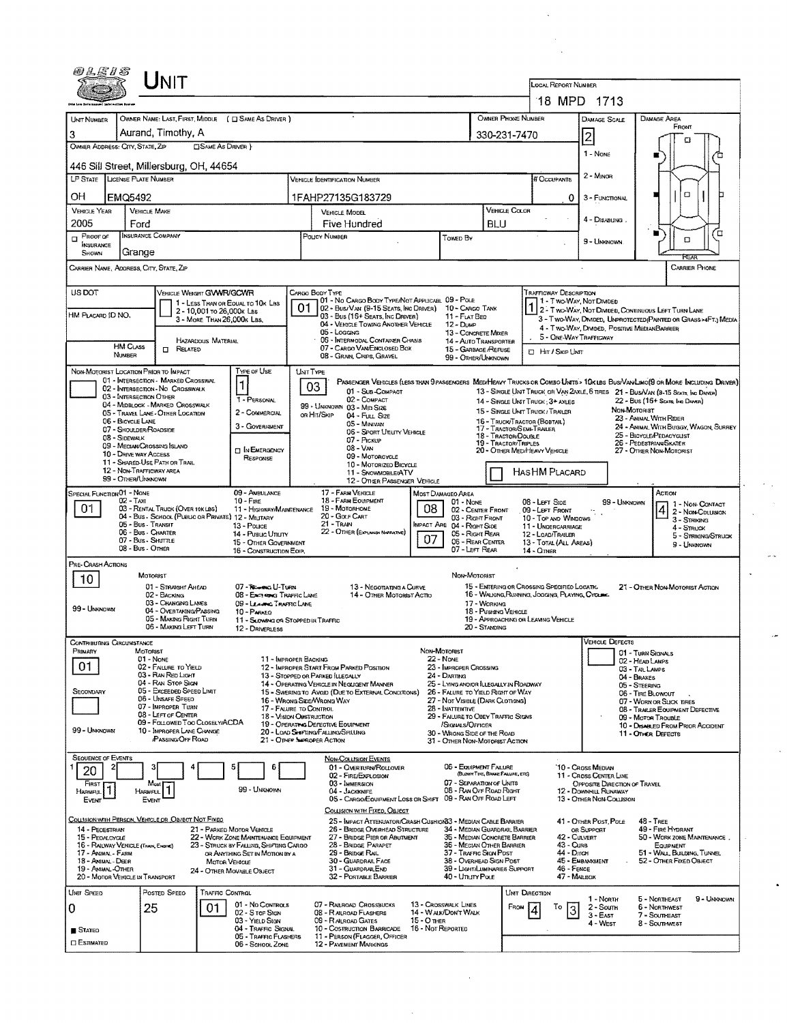| @LE15                                                                                                                                           |                                                            | <b>NIT</b>                                                            |                              |                                                                          |                           |                                                                                                  |                                     |                                                                             |                                                                                                                                   |                                                           | <b>LOCAL REPORT NUMBER</b>                                           |                                                                                    |                                      |                                                                                                                              |  |  |
|-------------------------------------------------------------------------------------------------------------------------------------------------|------------------------------------------------------------|-----------------------------------------------------------------------|------------------------------|--------------------------------------------------------------------------|---------------------------|--------------------------------------------------------------------------------------------------|-------------------------------------|-----------------------------------------------------------------------------|-----------------------------------------------------------------------------------------------------------------------------------|-----------------------------------------------------------|----------------------------------------------------------------------|------------------------------------------------------------------------------------|--------------------------------------|------------------------------------------------------------------------------------------------------------------------------|--|--|
|                                                                                                                                                 |                                                            |                                                                       |                              |                                                                          |                           |                                                                                                  |                                     |                                                                             |                                                                                                                                   |                                                           | 18 MPD 1713                                                          |                                                                                    |                                      |                                                                                                                              |  |  |
| <b>UNT NUMBER</b>                                                                                                                               |                                                            |                                                                       |                              | OWNER NAME: LAST, FIRST, MIDDLE ( C SAME AS DRIVER )                     |                           |                                                                                                  |                                     |                                                                             |                                                                                                                                   | OWNER PHONE NUMBER                                        |                                                                      | DAMAGE SCALE                                                                       |                                      | DAMAGE AREA                                                                                                                  |  |  |
| 3                                                                                                                                               | Aurand, Timothy, A                                         |                                                                       |                              |                                                                          |                           |                                                                                                  |                                     |                                                                             | 330-231-7470                                                                                                                      |                                                           |                                                                      | 2                                                                                  | FRONT<br>Ω                           |                                                                                                                              |  |  |
|                                                                                                                                                 | OWNER ADDRESS: CITY, STATE, ZIP<br><b>SAME AS DRIVER }</b> |                                                                       |                              |                                                                          |                           |                                                                                                  |                                     |                                                                             |                                                                                                                                   |                                                           |                                                                      | 1 - None                                                                           |                                      | n                                                                                                                            |  |  |
|                                                                                                                                                 | 446 Sill Street, Millersburg, OH, 44654                    |                                                                       |                              |                                                                          |                           |                                                                                                  |                                     |                                                                             |                                                                                                                                   |                                                           |                                                                      |                                                                                    |                                      |                                                                                                                              |  |  |
| <b>LP STATE</b>                                                                                                                                 | <b>LICENSE PLATE NUMBER</b>                                |                                                                       |                              |                                                                          |                           | <b>VERICLE IDENTIFICATION NUMBER</b>                                                             |                                     |                                                                             |                                                                                                                                   |                                                           | # Occupants                                                          | 2 - Minon                                                                          |                                      |                                                                                                                              |  |  |
| ΟH                                                                                                                                              | EMQ5492                                                    |                                                                       |                              |                                                                          |                           | 1FAHP27135G183729                                                                                |                                     |                                                                             |                                                                                                                                   |                                                           | 0                                                                    | 3 - Functional                                                                     |                                      | O                                                                                                                            |  |  |
| <b>VEHICLE YEAR</b>                                                                                                                             | <b>VEHICLE MAKE</b>                                        |                                                                       |                              |                                                                          |                           | VEHICLE MODEL                                                                                    |                                     |                                                                             |                                                                                                                                   | VEHICLE COLOR                                             |                                                                      | 4 - DISABLING.                                                                     |                                      |                                                                                                                              |  |  |
| 2005                                                                                                                                            | Ford                                                       |                                                                       |                              |                                                                          |                           | Five Hundred                                                                                     |                                     |                                                                             | <b>BLU</b>                                                                                                                        |                                                           |                                                                      |                                                                                    |                                      | □                                                                                                                            |  |  |
| <b>INSURANCE COMPANY</b><br>POLICY NUMBER<br>$P$ ROOF OF<br>Towed By<br><b>NISURANCE</b><br>Grange<br>SHOWN                                     |                                                            |                                                                       |                              |                                                                          |                           |                                                                                                  |                                     |                                                                             |                                                                                                                                   |                                                           |                                                                      | 9 - Unknown                                                                        |                                      | O<br>FTFAF                                                                                                                   |  |  |
| <b>CARRIER PHONE</b><br>CARRIER NAME, ADORESS, CITY, STATE, ZIP                                                                                 |                                                            |                                                                       |                              |                                                                          |                           |                                                                                                  |                                     |                                                                             |                                                                                                                                   |                                                           |                                                                      |                                                                                    |                                      |                                                                                                                              |  |  |
| US DOT<br>VEHICLE WEIGHT GWWR/GCWR<br>CARGO BODY TYPE<br>TRAFFICWAY DESCRIPTION                                                                 |                                                            |                                                                       |                              |                                                                          |                           |                                                                                                  |                                     |                                                                             |                                                                                                                                   |                                                           |                                                                      |                                                                                    |                                      |                                                                                                                              |  |  |
|                                                                                                                                                 |                                                            |                                                                       | 2 - 10,001 то 26,000к Las    | 1 - LESS THAN OR EQUAL TO 10K LBS                                        |                           | 101 - No Cargo Booy Type/Not Applicabl. 09 - Pole<br>02 - Bus/Van (9-15 Seats, Inc Driver)       |                                     | 10 - Cargo Tank                                                             |                                                                                                                                   |                                                           |                                                                      | 1 - T WO-WAY, NOT DIVIDED<br>1 2 - Two-Way, Not Divided, Continuous Left Turn Lane |                                      |                                                                                                                              |  |  |
| HM PLACARD ID NO.                                                                                                                               |                                                            |                                                                       | 3 - MORE THAN 26,000K LBS.   |                                                                          |                           | 03 - Bus (16+ SEATS, INC DRIVER)<br>04 - VEHICLE TOWING ANOTHER VEHICLE                          |                                     | 11 - FLAT BED<br>$12 - D$ UMP                                               |                                                                                                                                   |                                                           |                                                                      | 4 - Two-WAY, DIMDED, POSITIVE MEDIANBARRIER                                        |                                      | 3 - Two-WAY, DIMDED, UNPROTECTED (PAINTED OR GRASS >4FT.) MEDIA                                                              |  |  |
|                                                                                                                                                 |                                                            |                                                                       | HAZARDOUS MATERIAL           |                                                                          |                           | 05 - Logging<br>06 - INTERMODAL CONTAINER CHASIS                                                 |                                     | 13 - CONCRETE MIXER<br>14 - AUTO TRANSPORTER                                |                                                                                                                                   |                                                           | 5 - ONE-WAY TRAFFICWAY                                               |                                                                                    |                                      |                                                                                                                              |  |  |
|                                                                                                                                                 | <b>HM CLASS</b><br>NUMBER                                  | $\Box$<br>RELATED                                                     |                              |                                                                          |                           | 07 - CARGO VAN/ENCLOSED BOX<br>08 - GRAN, CHIPS, GRAVEL                                          |                                     | 15 - GARBAGE /REFUSE<br>99 - OTHER/UNKNOWN                                  |                                                                                                                                   |                                                           | <b>D</b> Hr / Sxip UNIT                                              |                                                                                    |                                      |                                                                                                                              |  |  |
| NON-MOTORIST LOCATION PRIOR TO IMPACT                                                                                                           |                                                            | 01 - INTERSECTION - MARKED CROSSWAL                                   |                              | Type or Use                                                              | UNIT TYPE                 |                                                                                                  |                                     |                                                                             |                                                                                                                                   |                                                           |                                                                      |                                                                                    |                                      | PASSENGER VEHICLES (LESS THAN 9 PASSENGERS MEDIMEAVY TRUCKS OR COMBO UNITS > 10K LBS BUS/VAN/LMO(9 OR MORE INCLUDING DRIVER) |  |  |
|                                                                                                                                                 | 03 - INTERSECTION OTHER                                    | 02 - INTERSECTION - NO CROSSWALK                                      |                              | 1                                                                        |                           | 03<br>01 - SUB-COMPACT                                                                           |                                     |                                                                             |                                                                                                                                   |                                                           |                                                                      |                                                                                    |                                      | 13 - SINGLE UNIT TRUCK OR VAN 2AXLE, 6 TIRES 21 - BUS/VAN (9-15 SEATS, INC DRIVER)                                           |  |  |
|                                                                                                                                                 |                                                            | 04 - MIDBLOCK - MARKED CROSSWALK<br>05 - TRAVEL LANE - OTHER LOCATION |                              | <b>1 - PERSONAL</b><br>2 - COMMERCIAL                                    |                           | 02 - COMPACT<br>99 - Unknown 03 - Mio Size                                                       |                                     |                                                                             |                                                                                                                                   |                                                           | 14 - SINGLE UNIT TRUCK: 3+ AXLES<br>15 - SINGLE UNIT TRUCK / TRAILER |                                                                                    | NON-MOTORIST                         | 22 - BUS (16+ SEATE, INC DAMER)                                                                                              |  |  |
|                                                                                                                                                 | 06 - BICYCLE LANE<br>07 - SHOULDER/ROADSIDE                |                                                                       |                              | 3 - Government                                                           |                           | OR HIT/SKIP<br>04 - Full Size<br>05 - Minivan                                                    |                                     |                                                                             |                                                                                                                                   | 16 - TRUCK/TRACTOR (BOBTAIL)<br>17 - TRACTOR SEMI-TRAILER |                                                                      |                                                                                    | 23 - ANIMAL WITH RIDER               | 24 - ANIMAL WITH BUGGY, WAGON, SURREY                                                                                        |  |  |
|                                                                                                                                                 | 08 - SIDEWALK                                              | 09 - MEDIAN CROSSING SLAND                                            |                              |                                                                          |                           | 06 - Sport Unuty Venicle<br>07 - PICKUP                                                          |                                     |                                                                             |                                                                                                                                   | 18 - TRACTOR/DOUBLE<br>19 - TRACTOR/TRIPLES               |                                                                      |                                                                                    | 26 - PEDESTRIAN/SKATER               | 25 - BICYCLE/PEDACYCLIST                                                                                                     |  |  |
|                                                                                                                                                 | 10 - DRIVE WAY ACCESS                                      |                                                                       |                              | <b>DIN EMERGENCY</b><br><b>RESPONSE</b>                                  |                           | 08 - VAN<br>09 - MOTORCYCLE                                                                      |                                     |                                                                             |                                                                                                                                   |                                                           | 20 - OTHER MED/HEAVY VEHICLE                                         |                                                                                    |                                      | 27 - OTHER NON-MOTORIST                                                                                                      |  |  |
| 11 - SHARED-USE PATH OR TRAIL<br>10 - MOTORIZED BICYCLE<br>12 - NON-TRAFFICWAY AREA<br>11 - SNOWMOBILE/ATV<br>99 - OTHER/UNKNOWN                |                                                            |                                                                       |                              |                                                                          |                           |                                                                                                  |                                     |                                                                             |                                                                                                                                   | HASHM PLACARD                                             |                                                                      |                                                                                    |                                      |                                                                                                                              |  |  |
| SPECIAL FUNCTION 01 - NONE                                                                                                                      |                                                            |                                                                       |                              | 09 - AMBULANCE                                                           |                           | 12 - OTHER PASSENGER VEHICLE<br>17 - FARM VEHICLE                                                | MOST DAMAGEO AREA                   |                                                                             |                                                                                                                                   |                                                           |                                                                      |                                                                                    |                                      | ACTION                                                                                                                       |  |  |
| 02 - TAXI<br>$10 -$ Fire<br>01<br>03 - RENTAL TRUCK (OVER 10KLBS)<br>11 - HIGHWAY/MAINTENANCE                                                   |                                                            |                                                                       |                              |                                                                          |                           | 18 - FARM EOUIPMENT<br>19 - MOTORHOME                                                            | 08                                  | $01 - None$                                                                 | 02 - CENTER FRONT                                                                                                                 |                                                           | 08 - LEFT SIDE<br>09 - LEFT FRONT                                    | 99 - UNKNOWN                                                                       |                                      | 1 - Non-Contact<br>2 - NON-COLLISION                                                                                         |  |  |
|                                                                                                                                                 | 05 - Bus - Transit                                         | 04 - Bus - School (Public or Private) 12 - Military                   | 20 - Gouf Cart<br>21 - TRAIN |                                                                          | MPACT ARE 04 - RIGHT SIDE | 03 - RIGHT FRONT                                                                                 |                                     | 10 - Top and Windows<br>11 - UNDERCARRIAGE                                  |                                                                                                                                   |                                                           | 3 - STRIKING<br>$4 -$ Struck                                         |                                                                                    |                                      |                                                                                                                              |  |  |
| 13 - Pouce<br>22 - OTHER (EXPLAININ NARRATIVE)<br>06 - Bus - Charter<br>14 - Pusuc Utturry<br>07<br>07 - Bus - SHUTTLE<br>15 - OTHER GOVERNMENT |                                                            |                                                                       |                              |                                                                          |                           |                                                                                                  |                                     |                                                                             | 05 - Right Rear<br>06 - REAR CENTER                                                                                               |                                                           | 12 - LOAD/TRAILER<br>13 - TOTAL (ALL AREAS)                          |                                                                                    |                                      | 5 - STRIKING/STRUCK<br>9 - UNKNOWN                                                                                           |  |  |
|                                                                                                                                                 | 08 - Bus - Other                                           |                                                                       |                              | 16 - CONSTRUCTION EOIP,                                                  |                           |                                                                                                  |                                     | 07 - LEFT REAR                                                              |                                                                                                                                   |                                                           | $14 -$ OTHER                                                         |                                                                                    |                                      |                                                                                                                              |  |  |
| PRE-CRASH ACTIONS                                                                                                                               | MOTORIST                                                   |                                                                       |                              |                                                                          |                           |                                                                                                  |                                     | NON-MOTORIST                                                                |                                                                                                                                   |                                                           |                                                                      |                                                                                    |                                      |                                                                                                                              |  |  |
| 10                                                                                                                                              |                                                            | 01 - STRAIGHT AHEAD<br>02 - BACKING                                   |                              | 07-To-med U-TURN<br>08 - Excesses Traffic Lane                           |                           | 13 - NEGOTIATING A CURVE<br>14 - OTHER MOTORIST ACTIO                                            |                                     |                                                                             |                                                                                                                                   |                                                           | 15 - ENTERING OR CROSSING SPECIFIED LOCATIC                          |                                                                                    |                                      | 21 - OTHER NON-MOTORIST ACTION                                                                                               |  |  |
| 99 - UNKNOWN                                                                                                                                    |                                                            | 03 - CHANGING LANES<br>04 - OVERTAKING/PASSING                        |                              | 09 - LEANING TRAFFIC LANE<br>10 - PARAED                                 |                           |                                                                                                  |                                     |                                                                             | 16 - WALKING, RUNNING, JOGGING, PLAYING, CYCLINE.<br>17 - WORKING<br>18 - Pusiano Venici e                                        |                                                           |                                                                      |                                                                                    |                                      |                                                                                                                              |  |  |
|                                                                                                                                                 |                                                            | 05 - MAKING RIGHT TURN<br>06 - MAKING LEFT TURN                       |                              | 11 - SLOWING OR STOPPED IN TRAFFIC<br>12 - DRIVERLESS                    |                           |                                                                                                  |                                     |                                                                             | 20 - STANDING                                                                                                                     |                                                           | 19 - APPROACHING OR LEAVING VEHICLE                                  |                                                                                    |                                      |                                                                                                                              |  |  |
| CONTRIBUTING CIRCUMSTANCE                                                                                                                       |                                                            |                                                                       |                              |                                                                          |                           |                                                                                                  |                                     |                                                                             |                                                                                                                                   |                                                           |                                                                      | <b>VEHICLE DEFECTS</b>                                                             |                                      |                                                                                                                              |  |  |
| Primary                                                                                                                                         | MOTORIST                                                   | 01 - None                                                             |                              | 11 - IMPROPER BACKING                                                    |                           |                                                                                                  | Non-Motorist<br><b>22 - NONE</b>    |                                                                             |                                                                                                                                   |                                                           |                                                                      |                                                                                    | 01 - TURN SIGNALS<br>02 - HEAD LAMPS |                                                                                                                              |  |  |
| 01                                                                                                                                              |                                                            | 02 - FALURE TO YIELD<br>03 - RAN RED LIGHT                            |                              |                                                                          |                           | 12 - IMPROPER START FROM PARKED POSITION<br>13 - STOPPED OR PARKED ILLEGALLY                     |                                     | 23 - IMPROPER CROSSING<br>24 - DARTING                                      |                                                                                                                                   |                                                           |                                                                      |                                                                                    | 03 - TAIL LAMPS<br>04 - BRAKES       |                                                                                                                              |  |  |
| Secondary                                                                                                                                       |                                                            | 04 - RAN STOP SIGN<br>05 - Exceeded Speed Limit                       |                              |                                                                          |                           | 14 - OPERATING VEHICLE IN NEGLIGENT MANNER<br>15 - SWERING TO AVOID (DUE TO EXTERNAL CONDITIONS) |                                     | 25 - LYING AND/OR ILLEGALLY IN ROADWAY<br>26 - FALURE TO YIELD RIGHT OF WAY |                                                                                                                                   |                                                           |                                                                      |                                                                                    | 05 - STEERING                        |                                                                                                                              |  |  |
|                                                                                                                                                 |                                                            | 06 - UNSAFE SPEED<br>07 - IMPROPER TURN                               |                              | 17 - FALURE TO CONTROL                                                   |                           | 16 - WRONG SIDE/WRONG WAY                                                                        |                                     | 27 - Not Visible (DARK Clothong)<br>28 - Inattentive                        |                                                                                                                                   |                                                           |                                                                      |                                                                                    | 06 - TIRE BLOWOUT                    | 07 - WORN OR SLICK TIRES                                                                                                     |  |  |
|                                                                                                                                                 |                                                            | 08 - LEFT OF CENTER<br>09 - Followed Too Closelv/ACDA                 |                              | 18 - Vision OBSTRUCTION                                                  |                           | 19 - OPERATING DEFECTIVE EQUIPMENT                                                               |                                     | /SIGNALS/OFFICER                                                            | 08 - TRAILER EQUIPMENT DEFECTIVE<br>29 - FALURE TO OBEY TRAFFIC SIGNS<br>09 - Motor Trouble<br>10 - Disare en From Prior Accident |                                                           |                                                                      |                                                                                    |                                      |                                                                                                                              |  |  |
| 99 - UNKNOWN                                                                                                                                    |                                                            | 10 - IMPROPER LANE CHANGE<br>PASSING OFF ROAD                         |                              |                                                                          |                           | 20 - LOAD SHIFTING/FALLING/SPILLING<br>21 - OTHER SAPROPER ACTION                                |                                     | 30 - Wrong Side of the Road<br>31 - OTHER NON-MOTORIST ACTION               |                                                                                                                                   |                                                           |                                                                      |                                                                                    | 11 - OTHER DEFECTS                   |                                                                                                                              |  |  |
| <b>SEQUENCE OF EVENTS</b>                                                                                                                       |                                                            |                                                                       |                              |                                                                          |                           | <b>NON-COLLISION EVENTS</b>                                                                      |                                     |                                                                             |                                                                                                                                   |                                                           |                                                                      |                                                                                    |                                      |                                                                                                                              |  |  |
| 20                                                                                                                                              |                                                            |                                                                       |                              | 5<br>6                                                                   |                           | 01 - Overturn/Rollover<br>02 - FIRE/EXPLOSION                                                    |                                     | 06 - EQUIPMENT FAILURE                                                      | (BLOWN TIRE, BRUKE FAILURE, ETC)                                                                                                  |                                                           |                                                                      | 10 - Cross Median<br>11 - Cross Center Line                                        |                                      |                                                                                                                              |  |  |
| FIRST<br>HARMFUL                                                                                                                                | <b>HARMFUL</b>                                             |                                                                       |                              | 99 - UNKNOWN                                                             |                           | 03 - IMMERSION<br>04 - Jackinnee                                                                 |                                     | 07 - SEPARATION OF UNITS<br>08 - RAN OFF ROAD RIGHT                         |                                                                                                                                   |                                                           |                                                                      | OPPOSITE DIRECTION OF TRAVEL<br>12 - DOWNHILL RUNAWAY                              |                                      |                                                                                                                              |  |  |
| Event                                                                                                                                           | Event                                                      |                                                                       |                              |                                                                          |                           | 05 - CARGO/EQUIPMENT LOSS OR SHIFT 09 - RAN OFF ROAD LEFT<br>COLLISION WITH FIXED, OBJECT        |                                     |                                                                             |                                                                                                                                   |                                                           |                                                                      | 13 - OTHER NON-COLLISION                                                           |                                      |                                                                                                                              |  |  |
| COLLISION WITH PERSON, VEHICLE OR OBJECT NOT FIXED                                                                                              |                                                            |                                                                       |                              |                                                                          |                           | 25 - IMPACT ATTENUATOR/CRASH CUSHION33 - MEDIAN CABLE BARRIER                                    |                                     |                                                                             |                                                                                                                                   |                                                           |                                                                      | 41 - OTHER POST, POLE                                                              | $48 - TREE$                          |                                                                                                                              |  |  |
| 14 - PEDESTRIAN<br>15 - PEDALCYCLE                                                                                                              |                                                            |                                                                       |                              | 21 - PARKED MOTOR VEHICLE<br>22 - WORK ZONE MAINTENANCE EQUIPMENT        |                           | 26 - BRIDGE OVERHEAD STRUCTURE<br>27 - BRIDGE PIER OR ABUTMENT                                   |                                     | 34 - MEDIAN GUARDRAIL BARRIER<br>35 - MEDIAN CONCRETE BARRIER               |                                                                                                                                   |                                                           | 42 - CULVERT                                                         | OR SUPPORT                                                                         |                                      | 49 - FIRE HYDRANT<br>50 - WORK ZONE MAINTENANCE.                                                                             |  |  |
| 16 - RAILWAY VEHICLE (TRAIN, ENGINE)<br>17 - Ansmal - Farm                                                                                      |                                                            |                                                                       |                              | 23 - STRUCK BY FALLING, SHIFTING CARGO<br>OR ANYTHING SET IN MOTION BY A |                           | 28 - BRIDGE PARAPET<br>29 - BRIDGE RAIL                                                          |                                     | 36 - MEDIAN OTHER BARRIER<br>37 - TRAFFIC SIGN POST                         |                                                                                                                                   |                                                           | 43 - Curs<br>44 - Олон                                               |                                                                                    |                                      | EQUIPMENT<br>51 - WALL, BUILDING, TUNNEL                                                                                     |  |  |
| 18 - Animal - Deer<br>19 - ANMAL-OTHER<br>20 - MOTOR VEHICLE IN TRANSPORT                                                                       |                                                            |                                                                       | MOTOR VEHICLE                | 24 - OTHER MOVABLE OBJECT                                                |                           | 30 - GUARDRAIL FACE<br>31 - GUARDRAILEND<br>32 - PORTABLE BARRIER                                |                                     | 38 - OVERHEAD SIGN POST<br>39 - LIGHT/LUMINARIES SUPPORT<br>40 - Unury Pole |                                                                                                                                   |                                                           | 46 - FENCE<br>47 - Maleox                                            | 45 - Embanxment                                                                    |                                      | 52 - OTHER FIXED OBJECT                                                                                                      |  |  |
| UNIT SPEED                                                                                                                                      |                                                            | Posted Speed                                                          | <b>TRAFFIC CONTROL</b>       |                                                                          |                           |                                                                                                  |                                     |                                                                             |                                                                                                                                   | <b>UNT DIRECTION</b>                                      |                                                                      |                                                                                    |                                      |                                                                                                                              |  |  |
| 0                                                                                                                                               | 25                                                         |                                                                       | 01.                          | 01 - No Controls                                                         |                           | 07 - RAILROAD CROSSBUCKS                                                                         | 13 - Crosswalk Lines                |                                                                             |                                                                                                                                   | FROM                                                      | To                                                                   | 1 - North<br>2 - South                                                             | 5 - NORTHEAST                        | 9 - Unknown<br>6 - NORTHWEST                                                                                                 |  |  |
|                                                                                                                                                 |                                                            |                                                                       |                              | 02 - Sirge Ston<br>03 - YIELD SIGN                                       |                           | 08 - RAILROAD FLASHERS<br>09 - RALROAD GATES                                                     | 14 - WALK/DON'T WALK<br>15 - O THER |                                                                             |                                                                                                                                   |                                                           | 3                                                                    | $3 -$ East<br>4 - West                                                             |                                      | 7 - SOUTHEAST<br>8 - Southmest                                                                                               |  |  |
| <b>State</b>                                                                                                                                    |                                                            |                                                                       |                              | 04 - TRAFFIC SIGNAL<br>05 - TRAFFIC FLASHERS                             |                           | 10 - COSTRUCTION BARRICADE<br>11 - PERSON (FLAGGER, OFFICER                                      | 16 - Not Reported                   |                                                                             |                                                                                                                                   |                                                           |                                                                      |                                                                                    |                                      |                                                                                                                              |  |  |
| <b>C ESTIMATED</b>                                                                                                                              |                                                            |                                                                       |                              | 06 - SCHOOL ZONE                                                         |                           | 12 - PAVEMENT MARKINGS                                                                           |                                     |                                                                             |                                                                                                                                   |                                                           |                                                                      |                                                                                    |                                      |                                                                                                                              |  |  |

 $\lambda$